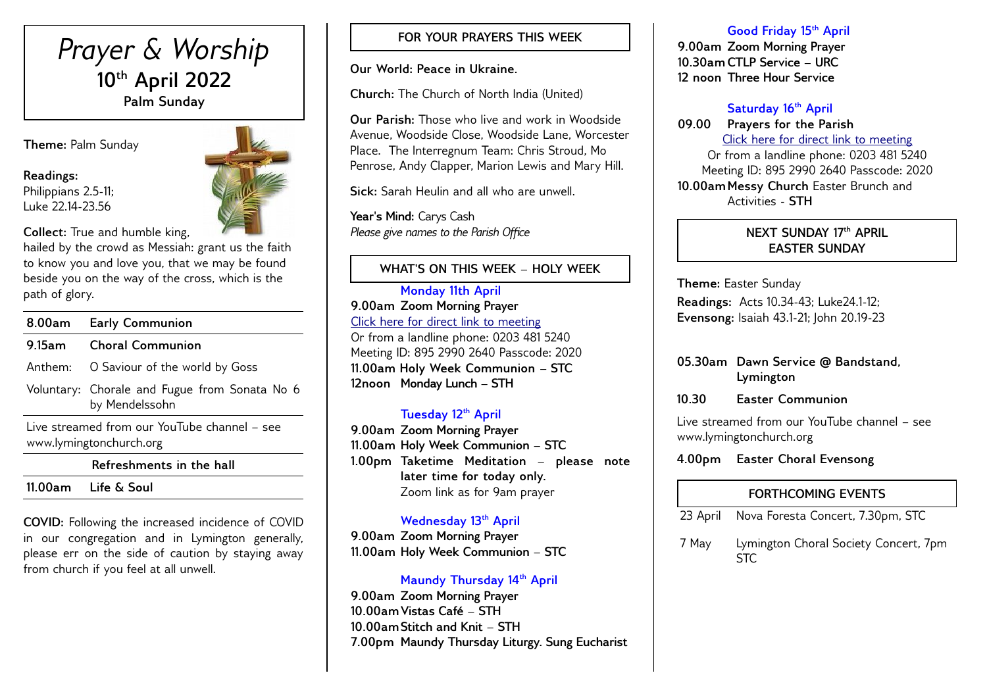# *Prayer & Worship* **10th April 2022 Palm Sunday**

**Theme:** Palm Sunday

**Readings:** Philippians 2.5-11; Luke 22.14-23.56



**Collect:** True and humble king,

hailed by the crowd as Messiah: grant us the faith to know you and love you, that we may be found beside you on the way of the cross, which is the path of glory.

| 8.00am                                                                  | <b>Early Communion</b>                                          |
|-------------------------------------------------------------------------|-----------------------------------------------------------------|
| $9.15$ am                                                               | <b>Choral Communion</b>                                         |
| Anthem:                                                                 | O Saviour of the world by Goss                                  |
|                                                                         | Voluntary: Chorale and Fugue from Sonata No 6<br>by Mendelssohn |
| Live streamed from our YouTube channel – see<br>www.lymingtonchurch.org |                                                                 |

**Refreshments in the hall**

**11.00am Life & Soul** 

**COVID:** Following the increased incidence of COVID in our congregation and in Lymington generally, please err on the side of caution by staying away from church if you feel at all unwell.

# **FOR YOUR PRAYERS THIS WEEK**

**Our World: Peace in Ukraine.**

**Church:** The Church of North India (United)

**Our Parish:** Those who live and work in Woodside Avenue, Woodside Close, Woodside Lane, Worcester Place. The Interregnum Team: Chris Stroud, Mo Penrose, Andy Clapper, Marion Lewis and Mary Hill.

**Sick:** Sarah Heulin and all who are unwell.

**Year's Mind:** Carys Cash *Please give names to the Parish Office*

# **WHAT'S ON THIS WEEK – HOLY WEEK**

**Monday 11th April 9.00am Zoom Morning Prayer** [Click here for direct link to meeting](https://us02web.zoom.us/j/89529902640?pwd=QVQxTGxjODdwV3ROT1gxM2NWUjN0dz09) Or from a landline phone: 0203 481 5240 Meeting ID: 895 2990 2640 Passcode: 2020 **11.00am Holy Week Communion – STC 12noon Monday Lunch – STH** 

# **Tuesday 12th April**

**9.00am Zoom Morning Prayer 11.00am Holy Week Communion – STC 1.00pm Taketime Meditation – please note later time for today only.** Zoom link as for 9am prayer

# **Wednesday 13th April**

**9.00am Zoom Morning Prayer 11.00am Holy Week Communion – STC** 

# **Maundy Thursday 14th April**

**9.00am Zoom Morning Prayer 10.00amVistas Café – STH 10.00amStitch and Knit – STH 7.00pm Maundy Thursday Liturgy. Sung Eucharist**

#### **Good Friday 15th April**

**9.00am Zoom Morning Prayer 10.30am CTLP Service – URC 12 noon Three Hour Service**

### **Saturday 16th April**

**09.00 Prayers for the Parish** [Click here for direct link to meeting](https://us02web.zoom.us/j/89529902640?pwd=QVQxTGxjODdwV3ROT1gxM2NWUjN0dz09) Or from a landline phone: 0203 481 5240 Meeting ID: 895 2990 2640 Passcode: 2020 **10.00amMessy Church** Easter Brunch and Activities - **STH**

# **NEXT SUNDAY 17th APRIL EASTER SUNDAY**

**Theme:** Easter Sunday **Readings:** Acts 10.34-43; Luke24.1-12; **Evensong:** Isaiah 43.1-21; John 20.19-23

#### **05.30am Dawn Service @ Bandstand, Lymington**

**10.30 Easter Communion** 

Live streamed from our YouTube channel – see www.lymingtonchurch.org

**4.00pm Easter Choral Evensong**

# **FORTHCOMING EVENTS**

23 April Nova Foresta Concert, 7.30pm, STC

7 May Lymington Choral Society Concert, 7pm STC